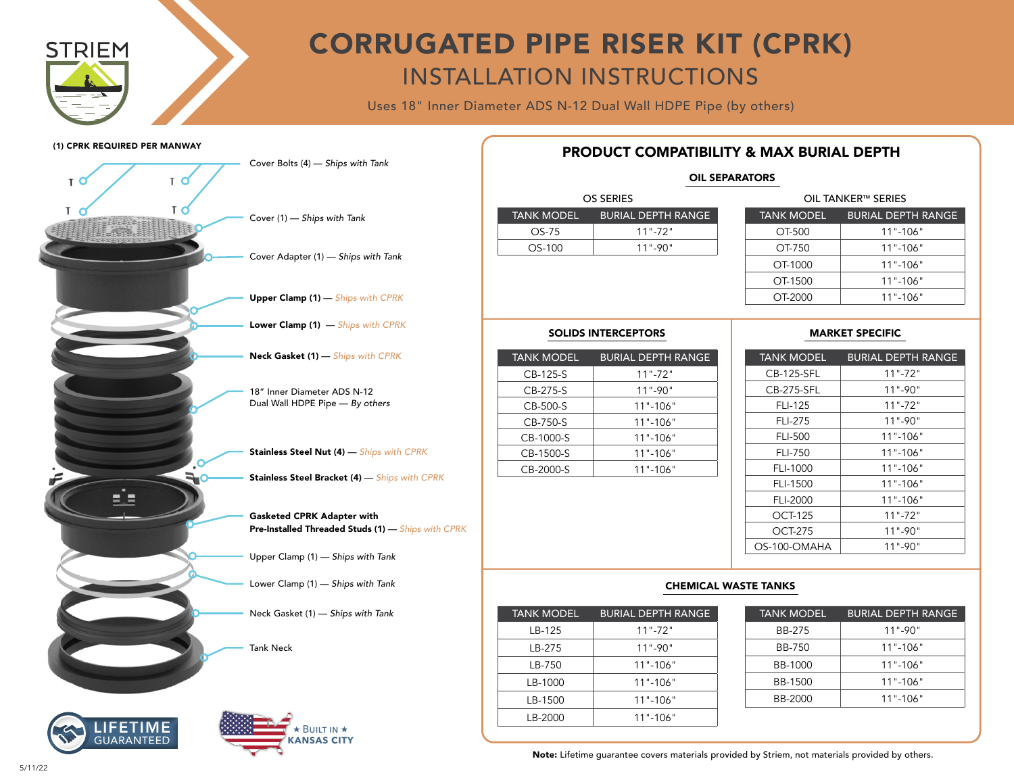

# CORRUGATED PIPE RISER KIT (CPRK) INSTALLATION INSTRUCTIONS

Uses 18" Inner Diameter ADS N-12 Dual Wall HDPE Pipe (by others)

#### (1) CPRK REQUIRED PER MANWAY



| GUARANTEED |
|------------|
|            |

| $\star$ BUILT IN $\star$ |
|--------------------------|
| <b>KANSAS CITY</b>       |

### PRODUCT COMPATIBILITY & MAX BURIAL DEPTH

#### OIL SEPARATORS

| OS SERIES  |                           |  |
|------------|---------------------------|--|
| TANK MODEL | <b>BURIAL DEPTH RANGE</b> |  |
| $OS-75$    | $11" - 72"$               |  |
| $OS-100$   | 11".90"                   |  |
|            |                           |  |

| OS SERIES                 |                   | OIL TANKER™ SERIES        |
|---------------------------|-------------------|---------------------------|
| <b>BURIAL DEPTH RANGE</b> | <b>TANK MODEL</b> | <b>BURIAL DEPTH RANGE</b> |
| 11".72"                   | OT-500            | $11 - 106$                |
| 11".90"                   | OT-750            | $11$ "-106"               |
|                           | OT-1000           | $11 - 106$                |
|                           | OT-1500           | $11$ "-106"               |
|                           | OT-2000           | $11 - 106$                |

#### SOLIDS INTERCEPTORS

| <b>TANK MODEL</b> | <b>BURIAL DEPTH RANGE</b> |
|-------------------|---------------------------|
| $CB-125-S$        | $11" - 72"$               |
| CB-275-S          | $11 - 90$ "               |
| CB-500-S          | $11 - 106$                |
| CB-750-S          | $11$ "-106"               |
| CB-1000-S         | $11 - 106$                |
| CB-1500-S         | $11$ "-106"               |
| CB-2000-S         | $11$ "-106"               |
|                   |                           |

#### MARKET SPECIFIC

| <b>TANK MODEL</b> | <b>BURIAL DEPTH RANGE</b> |
|-------------------|---------------------------|
| <b>CB-125-SFL</b> | $11" - 72"$               |
| CB-275-SFL        | $11" - 90"$               |
| FLI-125           | $11" - 72"$               |
| <b>FLI-275</b>    | 11"-90"                   |
| <b>FLI-500</b>    | 11"-106"                  |
| <b>FLI-750</b>    | $11$ "-106"               |
| FLI-1000          | $11$ "-106"               |
| FLI-1500          | $11 - 106$                |
| FLI-2000          | $11 - 106$                |
| <b>OCT-125</b>    | $11" - 72"$               |
| OCT-275           | 11"-90"                   |
| OS-100-OMAHA      | $11 - 90$ "               |

#### CHEMICAL WASTE TANKS

| <b>TANK MODEL</b> | BURIAL DEPTH RANGE |
|-------------------|--------------------|
| LB-125            | $11" - 72"$        |
| LB-275            | $11" - 90"$        |
| LB-750            | $11$ "-106"        |
| LB-1000           | $11$ "-106"        |
| LB-1500           | $11$ "-106"        |
| LB-2000           | $11$ "-106"        |

| <b>BURIAL DEPTH RANGE</b> |
|---------------------------|
| $11" - 90"$               |
| $11 - 106$                |
| $11 - 106$                |
| $11 - 106$                |
| $11 - 106$                |
|                           |

Note: Lifetime guarantee covers materials provided by Striem, not materials provided by others.